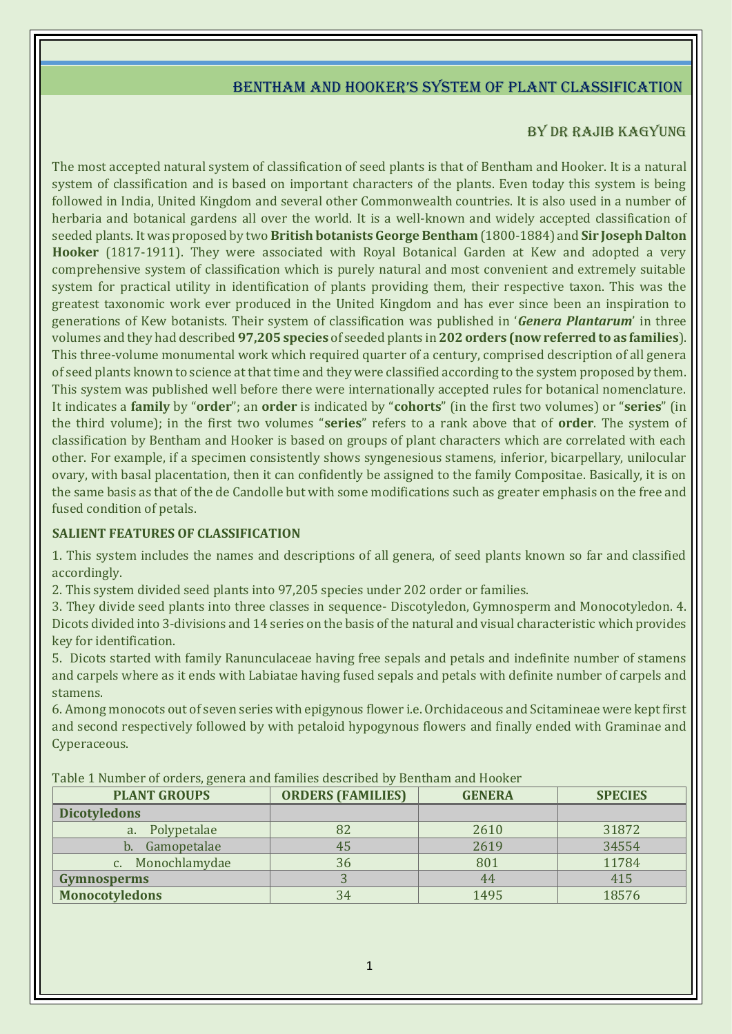# Bentham and hooker's system of plant classification

## BY DR RAJIB KAGYUNG

The most accepted natural system of classification of seed plants is that of Bentham and Hooker. It is a natural system of classification and is based on important characters of the plants. Even today this system is being followed in India, United Kingdom and several other Commonwealth countries. It is also used in a number of herbaria and botanical gardens all over the world. It is a well-known and widely accepted classification of seeded plants. It was proposed by two **British botanists George Bentham** (1800-1884) and **Sir Joseph Dalton Hooker** (1817-1911). They were associated with Royal Botanical Garden at Kew and adopted a very comprehensive system of classification which is purely natural and most convenient and extremely suitable system for practical utility in identification of plants providing them, their respective taxon. This was the greatest taxonomic work ever produced in the United Kingdom and has ever since been an inspiration to generations of Kew botanists. Their system of classification was published in '*Genera Plantarum*' in three volumes and they had described **97,205 species** of seeded plants in **202 orders (now referred to as families**). This three-volume monumental work which required quarter of a century, comprised description of all genera of seed plants known to science at that time and they were classified according to the system proposed by them. This system was published well before there were internationally accepted rules for botanical nomenclature. It indicates a **family** by "**order**"; an **order** is indicated by "**cohorts**" (in the first two volumes) or "**series**" (in the third volume); in the first two volumes "**series**" refers to a rank above that of **order**. The system of classification by Bentham and Hooker is based on groups of plant characters which are correlated with each other. For example, if a specimen consistently shows syngenesious stamens, inferior, bicarpellary, unilocular ovary, with basal placentation, then it can confidently be assigned to the family Compositae. Basically, it is on the same basis as that of the de Candolle but with some modifications such as greater emphasis on the free and fused condition of petals.

### **SALIENT FEATURES OF CLASSIFICATION**

1. This system includes the names and descriptions of all genera, of seed plants known so far and classified accordingly.

2. This system divided seed plants into 97,205 species under 202 order or families.

3. They divide seed plants into three classes in sequence- Discotyledon, Gymnosperm and Monocotyledon. 4. Dicots divided into 3-divisions and 14 series on the basis of the natural and visual characteristic which provides key for identification.

5. Dicots started with family Ranunculaceae having free sepals and petals and indefinite number of stamens and carpels where as it ends with Labiatae having fused sepals and petals with definite number of carpels and stamens.

6. Among monocots out of seven series with epigynous flower i.e. Orchidaceous and Scitamineae were kept first and second respectively followed by with petaloid hypogynous flowers and finally ended with Graminae and Cyperaceous.

| Table I Hamber of Gracis, genera and number acserbed by Bentham and Hooker |                          |               |                |
|----------------------------------------------------------------------------|--------------------------|---------------|----------------|
| <b>PLANT GROUPS</b>                                                        | <b>ORDERS (FAMILIES)</b> | <b>GENERA</b> | <b>SPECIES</b> |
| <b>Dicotyledons</b>                                                        |                          |               |                |
| a. Polypetalae                                                             | 82                       | 2610          | 31872          |
| Gamopetalae                                                                | 45                       | 2619          | 34554          |
| Monochlamydae                                                              | 36                       | 801           | 11784          |
| <b>Gymnosperms</b>                                                         |                          | 44            | 415            |
| <b>Monocotyledons</b>                                                      | 34                       | 1495          | 18576          |

Table 1 Number of orders, genera and families described by Bentham and Hooker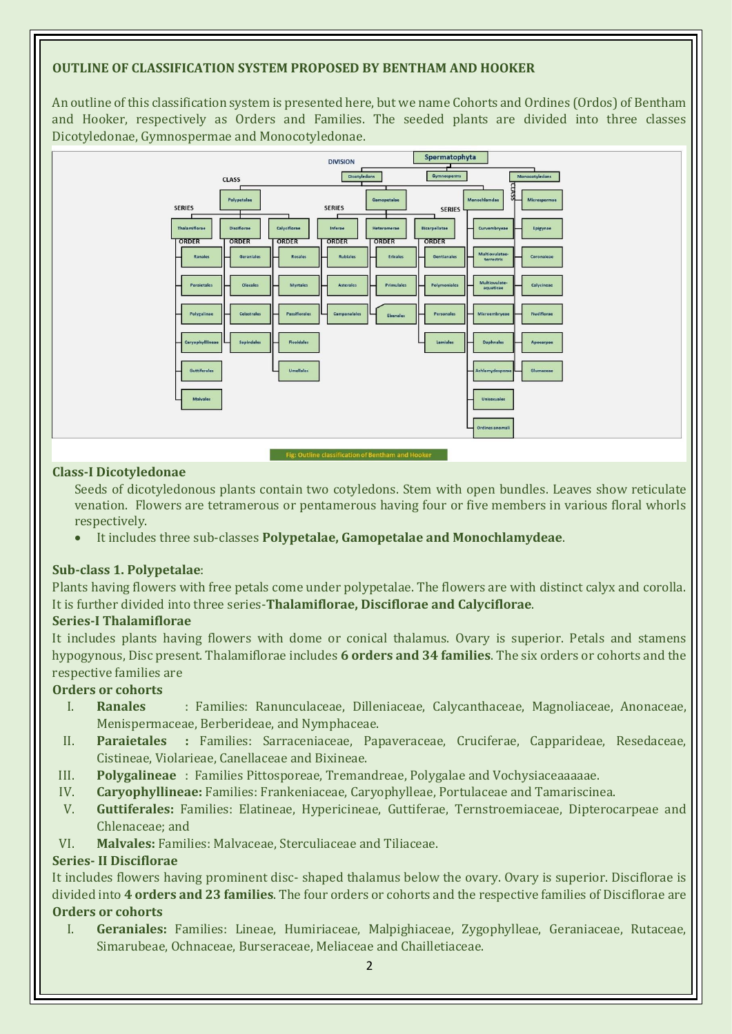### **OUTLINE OF CLASSIFICATION SYSTEM PROPOSED BY BENTHAM AND HOOKER**

An outline of this classification system is presented here, but we name Cohorts and Ordines (Ordos) of Bentham and Hooker, respectively as Orders and Families. The seeded plants are divided into three classes Dicotyledonae, Gymnospermae and Monocotyledonae.



#### **Class-I Dicotyledonae**

Seeds of dicotyledonous plants contain two cotyledons. Stem with open bundles. Leaves show reticulate venation. Flowers are tetramerous or pentamerous having four or five members in various floral whorls respectively.

It includes three sub-classes **Polypetalae, Gamopetalae and Monochlamydeae**.

#### **Sub-class 1. Polypetalae**:

Plants having flowers with free petals come under polypetalae. The flowers are with distinct calyx and corolla. It is further divided into three series-**Thalamiflorae, Disciflorae and Calyciflorae**.

#### **Series-I Thalamiflorae**

It includes plants having flowers with dome or conical thalamus. Ovary is superior. Petals and stamens hypogynous, Disc present. Thalamiflorae includes **6 orders and 34 families**. The six orders or cohorts and the respective families are

### **Orders or cohorts**

- I. **Ranales** : Families: Ranunculaceae, Dilleniaceae, Calycanthaceae, Magnoliaceae, Anonaceae, Menispermaceae, Berberideae, and Nymphaceae.
- II. **Paraietales :** Families: Sarraceniaceae, Papaveraceae, Cruciferae, Capparideae, Resedaceae, Cistineae, Violarieae, Canellaceae and Bixineae.
- III. **Polygalineae** : Families Pittosporeae, Tremandreae, Polygalae and Vochysiaceaaaaae.
- IV. **Caryophyllineae:** Families: Frankeniaceae, Caryophylleae, Portulaceae and Tamariscinea.
- V. **Guttiferales:** Families: Elatineae, Hypericineae, Guttiferae, Ternstroemiaceae, Dipterocarpeae and Chlenaceae; and
- VI. **Malvales:** Families: Malvaceae, Sterculiaceae and Tiliaceae.

#### **Series- II Disciflorae**

It includes flowers having prominent disc- shaped thalamus below the ovary. Ovary is superior. Disciflorae is divided into **4 orders and 23 families**. The four orders or cohorts and the respective families of Disciflorae are **Orders or cohorts**

I. **Geraniales:** Families: Lineae, Humiriaceae, Malpighiaceae, Zygophylleae, Geraniaceae, Rutaceae, Simarubeae, Ochnaceae, Burseraceae, Meliaceae and Chailletiaceae.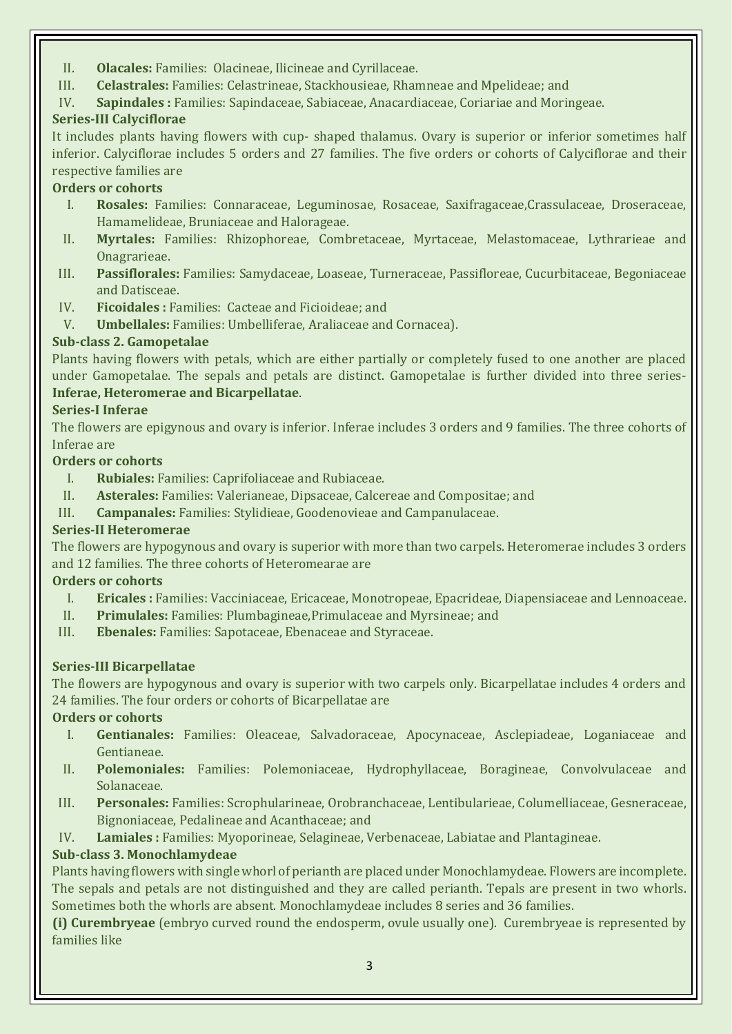- II. **Olacales:** Families: Olacineae, Ilicineae and Cyrillaceae.
- III. **Celastrales:** Families: Celastrineae, Stackhousieae, Rhamneae and Mpelideae; and
- IV. **Sapindales :** Families: Sapindaceae, Sabiaceae, Anacardiaceae, Coriariae and Moringeae.

# **Series-III Calyciflorae**

It includes plants having flowers with cup- shaped thalamus. Ovary is superior or inferior sometimes half inferior. Calyciflorae includes 5 orders and 27 families. The five orders or cohorts of Calyciflorae and their respective families are

## **Orders or cohorts**

- I. **Rosales:** Families: Connaraceae, Leguminosae, Rosaceae, Saxifragaceae,Crassulaceae, Droseraceae, Hamamelideae, Bruniaceae and Halorageae.
- II. **Myrtales:** Families: Rhizophoreae, Combretaceae, Myrtaceae, Melastomaceae, Lythrarieae and Onagrarieae.
- III. **Passiflorales:** Families: Samydaceae, Loaseae, Turneraceae, Passifloreae, Cucurbitaceae, Begoniaceae and Datisceae.
- IV. **Ficoidales :** Families: Cacteae and Ficioideae; and
- V. **Umbellales:** Families: Umbelliferae, Araliaceae and Cornacea).

## **Sub-class 2. Gamopetalae**

Plants having flowers with petals, which are either partially or completely fused to one another are placed under Gamopetalae. The sepals and petals are distinct. Gamopetalae is further divided into three series-**Inferae, Heteromerae and Bicarpellatae**.

### **Series-I Inferae**

The flowers are epigynous and ovary is inferior. Inferae includes 3 orders and 9 families. The three cohorts of Inferae are

### **Orders or cohorts**

- I. **Rubiales:** Families: Caprifoliaceae and Rubiaceae.
- II. **Asterales:** Families: Valerianeae, Dipsaceae, Calcereae and Compositae; and
- III. **Campanales:** Families: Stylidieae, Goodenovieae and Campanulaceae.

# **Series-II Heteromerae**

The flowers are hypogynous and ovary is superior with more than two carpels. Heteromerae includes 3 orders and 12 families. The three cohorts of Heteromearae are

### **Orders or cohorts**

- I. **Ericales :** Families: Vacciniaceae, Ericaceae, Monotropeae, Epacrideae, Diapensiaceae and Lennoaceae.
- II. **Primulales:** Families: Plumbagineae,Primulaceae and Myrsineae; and
- III. **Ebenales:** Families: Sapotaceae, Ebenaceae and Styraceae.

### **Series-III Bicarpellatae**

The flowers are hypogynous and ovary is superior with two carpels only. Bicarpellatae includes 4 orders and 24 families. The four orders or cohorts of Bicarpellatae are

### **Orders or cohorts**

- I. **Gentianales:** Families: Oleaceae, Salvadoraceae, Apocynaceae, Asclepiadeae, Loganiaceae and Gentianeae.
- II. **Polemoniales:** Families: Polemoniaceae, Hydrophyllaceae, Boragineae, Convolvulaceae and Solanaceae.
- III. **Personales:** Families: Scrophularineae, Orobranchaceae, Lentibularieae, Columelliaceae, Gesneraceae, Bignoniaceae, Pedalineae and Acanthaceae; and
- IV. **Lamiales :** Families: Myoporineae, Selagineae, Verbenaceae, Labiatae and Plantagineae.

# **Sub-class 3. Monochlamydeae**

Plants having flowers with single whorl of perianth are placed under Monochlamydeae. Flowers are incomplete. The sepals and petals are not distinguished and they are called perianth. Tepals are present in two whorls. Sometimes both the whorls are absent. Monochlamydeae includes 8 series and 36 families.

**(i) Curembryeae** (embryo curved round the endosperm, ovule usually one). Curembryeae is represented by families like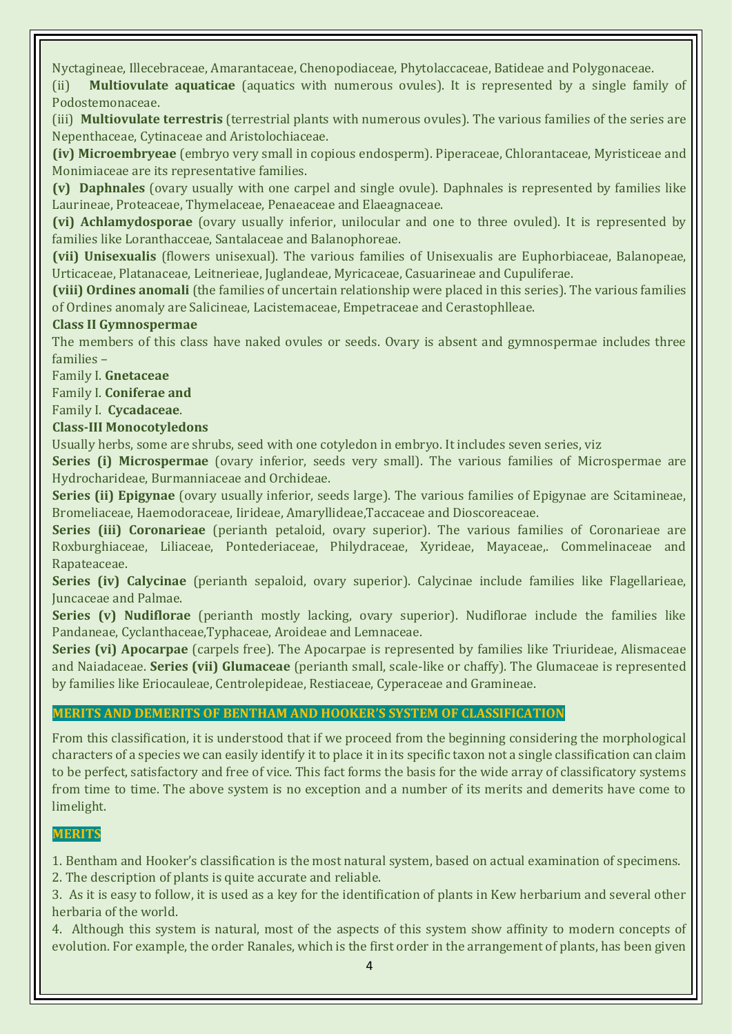Nyctagineae, Illecebraceae, Amarantaceae, Chenopodiaceae, Phytolaccaceae, Batideae and Polygonaceae.

(ii) **Multiovulate aquaticae** (aquatics with numerous ovules). It is represented by a single family of Podostemonaceae.

(iii) **Multiovulate terrestris** (terrestrial plants with numerous ovules). The various families of the series are Nepenthaceae, Cytinaceae and Aristolochiaceae.

**(iv) Microembryeae** (embryo very small in copious endosperm). Piperaceae, Chlorantaceae, Myristiceae and Monimiaceae are its representative families.

**(v) Daphnales** (ovary usually with one carpel and single ovule). Daphnales is represented by families like Laurineae, Proteaceae, Thymelaceae, Penaeaceae and Elaeagnaceae.

**(vi) Achlamydosporae** (ovary usually inferior, unilocular and one to three ovuled). It is represented by families like Loranthacceae, Santalaceae and Balanophoreae.

**(vii) Unisexualis** (flowers unisexual). The various families of Unisexualis are Euphorbiaceae, Balanopeae, Urticaceae, Platanaceae, Leitnerieae, Juglandeae, Myricaceae, Casuarineae and Cupuliferae.

**(viii) Ordines anomali** (the families of uncertain relationship were placed in this series). The various families of Ordines anomaly are Salicineae, Lacistemaceae, Empetraceae and Cerastophlleae.

### **Class II Gymnospermae**

The members of this class have naked ovules or seeds. Ovary is absent and gymnospermae includes three families –

Family I. **Gnetaceae**

Family I. **Coniferae and**

Family I. **Cycadaceae**.

#### **Class-III Monocotyledons**

Usually herbs, some are shrubs, seed with one cotyledon in embryo. It includes seven series, viz

**Series (i) Microspermae** (ovary inferior, seeds very small). The various families of Microspermae are Hydrocharideae, Burmanniaceae and Orchideae.

**Series (ii) Epigynae** (ovary usually inferior, seeds large). The various families of Epigynae are Scitamineae, Bromeliaceae, Haemodoraceae, Iirideae, Amaryllideae,Taccaceae and Dioscoreaceae.

**Series (iii) Coronarieae** (perianth petaloid, ovary superior). The various families of Coronarieae are Roxburghiaceae, Liliaceae, Pontederiaceae, Philydraceae, Xyrideae, Mayaceae,. Commelinaceae and Rapateaceae.

**Series (iv) Calycinae** (perianth sepaloid, ovary superior). Calycinae include families like Flagellarieae, Juncaceae and Palmae.

**Series (v) Nudiflorae** (perianth mostly lacking, ovary superior). Nudiflorae include the families like Pandaneae, Cyclanthaceae,Typhaceae, Aroideae and Lemnaceae.

**Series (vi) Apocarpae** (carpels free). The Apocarpae is represented by families like Triurideae, Alismaceae and Naiadaceae. **Series (vii) Glumaceae** (perianth small, scale-like or chaffy). The Glumaceae is represented by families like Eriocauleae, Centrolepideae, Restiaceae, Cyperaceae and Gramineae.

### **MERITS AND DEMERITS OF BENTHAM AND HOOKER'S SYSTEM OF CLASSIFICATION**

From this classification, it is understood that if we proceed from the beginning considering the morphological characters of a species we can easily identify it to place it in its specific taxon not a single classification can claim to be perfect, satisfactory and free of vice. This fact forms the basis for the wide array of classificatory systems from time to time. The above system is no exception and a number of its merits and demerits have come to limelight.

#### **MERITS**

1. Bentham and Hooker's classification is the most natural system, based on actual examination of specimens.

2. The description of plants is quite accurate and reliable.

3. As it is easy to follow, it is used as a key for the identification of plants in Kew herbarium and several other herbaria of the world.

4. Although this system is natural, most of the aspects of this system show affinity to modern concepts of evolution. For example, the order Ranales, which is the first order in the arrangement of plants, has been given